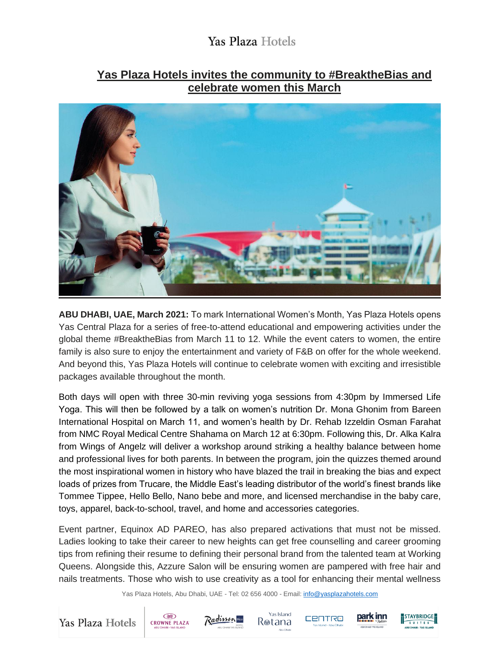# **Yas Plaza Hotels invites the community to #BreaktheBias and celebrate women this March**



**ABU DHABI, UAE, March 2021:** To mark International Women's Month, Yas Plaza Hotels opens Yas Central Plaza for a series of free-to-attend educational and empowering activities under the global theme #BreaktheBias from March 11 to 12. While the event caters to women, the entire family is also sure to enjoy the entertainment and variety of F&B on offer for the whole weekend. And beyond this, Yas Plaza Hotels will continue to celebrate women with exciting and irresistible packages available throughout the month.

Both days will open with three 30-min reviving yoga sessions from 4:30pm by Immersed Life Yoga. This will then be followed by a talk on women's nutrition Dr. Mona Ghonim from Bareen International Hospital on March 11, and women's health by Dr. Rehab Izzeldin Osman Farahat from NMC Royal Medical Centre Shahama on March 12 at 6:30pm. Following this, Dr. Alka Kalra from Wings of Angelz will deliver a workshop around striking a healthy balance between home and professional lives for both parents. In between the program, join the quizzes themed around the most inspirational women in history who have blazed the trail in breaking the bias and expect loads of prizes from Trucare, the Middle East's leading distributor of the world's finest brands like Tommee Tippee, Hello Bello, Nano bebe and more, and licensed merchandise in the baby care, toys, apparel, back-to-school, travel, and home and accessories categories.

Event partner, Equinox AD PAREO, has also prepared activations that must not be missed. Ladies looking to take their career to new heights can get free counselling and career grooming tips from refining their resume to defining their personal brand from the talented team at Working Queens. Alongside this, Azzure Salon will be ensuring women are pampered with free hair and nails treatments. Those who wish to use creativity as a tool for enhancing their mental wellness

Yas Plaza Hotels, Abu Dhabi, UAE - Tel: 02 656 4000 - Email[: info@yasplazahotels.com](mailto:info@yasplazahotels.com)











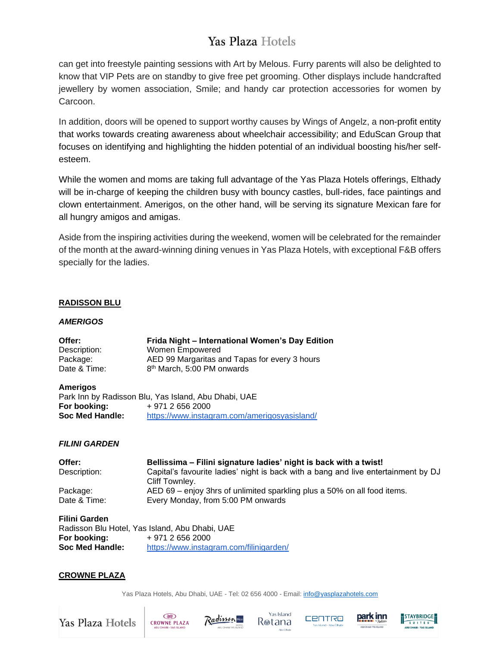can get into freestyle painting sessions with Art by Melous. Furry parents will also be delighted to know that VIP Pets are on standby to give free pet grooming. Other displays include handcrafted jewellery by women association, Smile; and handy car protection accessories for women by Carcoon.

In addition, doors will be opened to support worthy causes by Wings of Angelz, a non-profit entity that works towards creating awareness about wheelchair accessibility; and EduScan Group that focuses on identifying and highlighting the hidden potential of an individual boosting his/her selfesteem.

While the women and moms are taking full advantage of the Yas Plaza Hotels offerings, Elthady will be in-charge of keeping the children busy with bouncy castles, bull-rides, face paintings and clown entertainment. Amerigos, on the other hand, will be serving its signature Mexican fare for all hungry amigos and amigas.

Aside from the inspiring activities during the weekend, women will be celebrated for the remainder of the month at the award-winning dining venues in Yas Plaza Hotels, with exceptional F&B offers specially for the ladies.

# **RADISSON BLU**

## *AMERIGOS*

| Offer:       | Frida Night – International Women's Day Edition |
|--------------|-------------------------------------------------|
| Description: | Women Empowered                                 |
| Package:     | AED 99 Margaritas and Tapas for every 3 hours   |
| Date & Time: | 8 <sup>th</sup> March, 5:00 PM onwards          |

### **Amerigos**

|                 | Park Inn by Radisson Blu, Yas Island, Abu Dhabi, UAE |
|-----------------|------------------------------------------------------|
| For booking:    | + 971 2 656 2000                                     |
| Soc Med Handle: | https://www.instagram.com/amerigosyasisland/         |

## *FILINI GARDEN*

| Offer:       | Bellissima – Filini signature ladies' night is back with a twist!                  |
|--------------|------------------------------------------------------------------------------------|
| Description: | Capital's favourite ladies' night is back with a bang and live entertainment by DJ |
|              | Cliff Townley.                                                                     |
| Package:     | AED 69 – enjoy 3hrs of unlimited sparkling plus a 50% on all food items.           |
| Date & Time: | Every Monday, from 5:00 PM onwards                                                 |

| <b>Filini Garden</b> |                                                |
|----------------------|------------------------------------------------|
|                      | Radisson Blu Hotel, Yas Island, Abu Dhabi, UAE |
| For booking:         | + 971 2 656 2000                               |
| Soc Med Handle:      | https://www.instagram.com/filinigarden/        |

### **CROWNE PLAZA**

Yas Plaza Hotels, Abu Dhabi, UAE - Tel: 02 656 4000 - Email[: info@yasplazahotels.com](mailto:info@yasplazahotels.com)

Yas Plaza Hotels









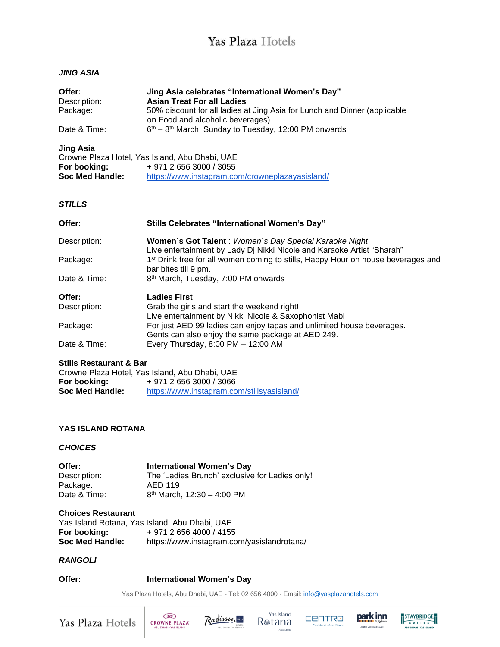# *JING ASIA*

| Offer:<br>Description:<br>Package:<br>Date & Time:  | Jing Asia celebrates "International Women's Day"<br><b>Asian Treat For all Ladies</b><br>50% discount for all ladies at Jing Asia for Lunch and Dinner (applicable<br>on Food and alcoholic beverages)<br>$6th - 8th$ March, Sunday to Tuesday, 12:00 PM onwards |
|-----------------------------------------------------|------------------------------------------------------------------------------------------------------------------------------------------------------------------------------------------------------------------------------------------------------------------|
| <b>Jing Asia</b><br>For booking:<br>Soc Med Handle: | Crowne Plaza Hotel, Yas Island, Abu Dhabi, UAE<br>$+97126563000/3055$<br>https://www.instagram.com/crowneplazayasisland/                                                                                                                                         |
| <b>STILLS</b>                                       |                                                                                                                                                                                                                                                                  |
| Offer:                                              | Stills Celebrates "International Women's Day"                                                                                                                                                                                                                    |
| Description:                                        | Women's Got Talent: Women's Day Special Karaoke Night<br>Live entertainment by Lady Dj Nikki Nicole and Karaoke Artist "Sharah"                                                                                                                                  |
| Package:                                            | 1 <sup>st</sup> Drink free for all women coming to stills, Happy Hour on house beverages and<br>bar bites till 9 pm.                                                                                                                                             |
| Date & Time:                                        | 8 <sup>th</sup> March, Tuesday, 7:00 PM onwards                                                                                                                                                                                                                  |
| Offer:<br>Description:                              | <b>Ladies First</b><br>Grab the girls and start the weekend right!<br>Live entertainment by Nikki Nicole & Saxophonist Mabi                                                                                                                                      |
| Package:                                            | For just AED 99 ladies can enjoy tapas and unlimited house beverages.<br>Gents can also enjoy the same package at AED 249.                                                                                                                                       |
| Date & Time:                                        | Every Thursday, 8:00 PM - 12:00 AM                                                                                                                                                                                                                               |

#### **Stills Restaurant & Bar**

|                 | Crowne Plaza Hotel, Yas Island, Abu Dhabi, UAE |
|-----------------|------------------------------------------------|
| For booking:    | + 971 2 656 3000 / 3066                        |
| Soc Med Handle: | https://www.instagram.com/stillsyasisland/     |

## **YAS ISLAND ROTANA**

## *CHOICES*

| Offer:       | International Women's Day                      |
|--------------|------------------------------------------------|
| Description: | The 'Ladies Brunch' exclusive for Ladies only! |
| Package:     | AED 119                                        |
| Date & Time: | $8th$ March, 12:30 - 4:00 PM                   |

#### **Choices Restaurant**

|                 | Yas Island Rotana, Yas Island, Abu Dhabi, UAE |
|-----------------|-----------------------------------------------|
| For booking:    | + 971 2 656 4000 / 4155                       |
| Soc Med Handle: | https://www.instagram.com/yasislandrotana/    |

## *RANGOLI*

**Offer: International Women's Day**

Yas Plaza Hotels, Abu Dhabi, UAE - Tel: 02 656 4000 - Email[: info@yasplazahotels.com](mailto:info@yasplazahotels.com)

Yas Plaza Hotels









ISLAND